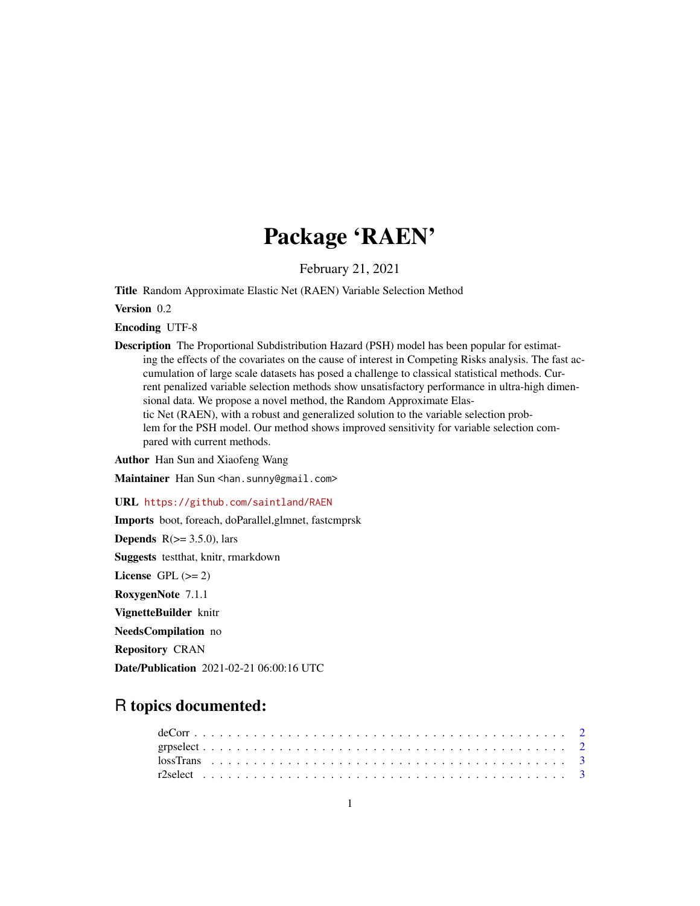## Package 'RAEN'

February 21, 2021

Title Random Approximate Elastic Net (RAEN) Variable Selection Method

Version 0.2

Encoding UTF-8

Description The Proportional Subdistribution Hazard (PSH) model has been popular for estimating the effects of the covariates on the cause of interest in Competing Risks analysis. The fast accumulation of large scale datasets has posed a challenge to classical statistical methods. Current penalized variable selection methods show unsatisfactory performance in ultra-high dimensional data. We propose a novel method, the Random Approximate Elastic Net (RAEN), with a robust and generalized solution to the variable selection problem for the PSH model. Our method shows improved sensitivity for variable selection compared with current methods.

Author Han Sun and Xiaofeng Wang

Maintainer Han Sun <han.sunny@gmail.com>

URL <https://github.com/saintland/RAEN>

Imports boot, foreach, doParallel,glmnet, fastcmprsk

**Depends**  $R(>= 3.5.0)$ , lars

Suggests testthat, knitr, rmarkdown

License GPL  $(>= 2)$ 

RoxygenNote 7.1.1

VignetteBuilder knitr

NeedsCompilation no

Repository CRAN

Date/Publication 2021-02-21 06:00:16 UTC

### R topics documented: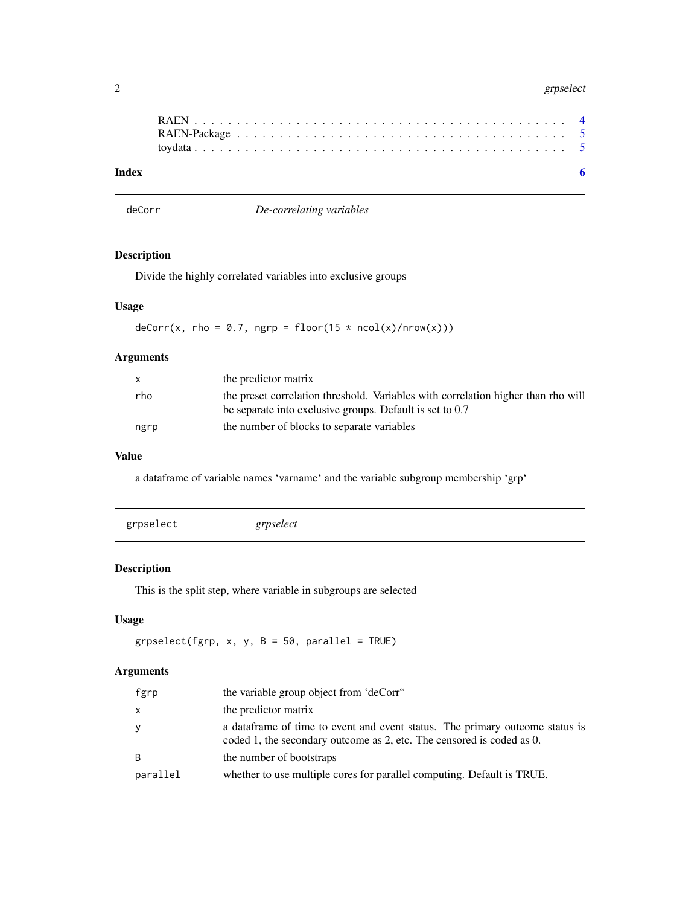#### <span id="page-1-0"></span>2 grpselect that the contract of the contract of the contract of the contract of the contract of the contract of the contract of the contract of the contract of the contract of the contract of the contract of the contract

deCorr *De-correlating variables*

#### Description

Divide the highly correlated variables into exclusive groups

#### Usage

 $deCorr(x, rho = 0.7, ngrp = floor(15 * ncol(x)/nrow(x)))$ 

#### Arguments

| $\mathsf{x}$ | the predictor matrix                                                                                                                          |
|--------------|-----------------------------------------------------------------------------------------------------------------------------------------------|
| rho          | the preset correlation threshold. Variables with correlation higher than rho will<br>be separate into exclusive groups. Default is set to 0.7 |
| ngrp         | the number of blocks to separate variables                                                                                                    |

#### Value

a dataframe of variable names 'varname' and the variable subgroup membership 'grp'

#### Description

This is the split step, where variable in subgroups are selected

#### Usage

grpselect(fgrp,  $x$ ,  $y$ ,  $B = 50$ , parallel = TRUE)

#### Arguments

| fgrp         | the variable group object from 'deCorr"                                                                                                                |
|--------------|--------------------------------------------------------------------------------------------------------------------------------------------------------|
| $\mathsf{x}$ | the predictor matrix                                                                                                                                   |
| y            | a data frame of time to event and event status. The primary outcome status is<br>coded 1, the secondary outcome as 2, etc. The censored is coded as 0. |
| B            | the number of bootstraps                                                                                                                               |
| parallel     | whether to use multiple cores for parallel computing. Default is TRUE.                                                                                 |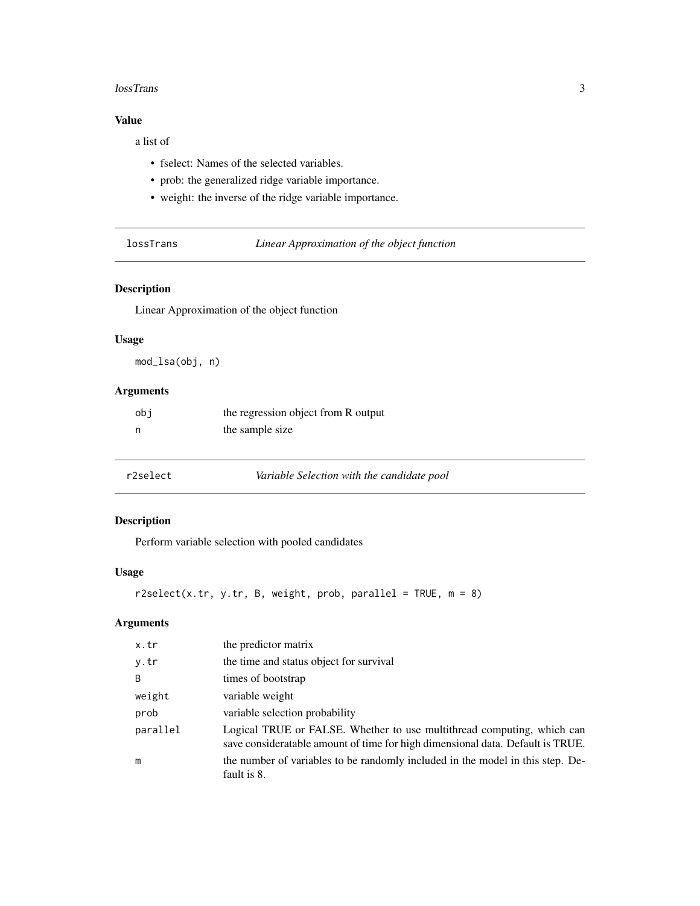#### <span id="page-2-0"></span>lossTrans 3

#### Value

a list of

- fselect: Names of the selected variables.
- prob: the generalized ridge variable importance.
- weight: the inverse of the ridge variable importance.

lossTrans *Linear Approximation of the object function*

#### Description

Linear Approximation of the object function

#### Usage

mod\_lsa(obj, n)

#### Arguments

| obi | the regression object from R output |
|-----|-------------------------------------|
|     | the sample size                     |

| r2select | Variable Selection with the candidate pool |
|----------|--------------------------------------------|
|----------|--------------------------------------------|

#### Description

Perform variable selection with pooled candidates

#### Usage

```
r2select(x.tr, y.tr, B, weight, prob, parallel = TRUE, m = 8)
```
#### Arguments

| x.tr     | the predictor matrix                                                                                                                                     |
|----------|----------------------------------------------------------------------------------------------------------------------------------------------------------|
| y.tr     | the time and status object for survival                                                                                                                  |
| B        | times of bootstrap                                                                                                                                       |
| weight   | variable weight                                                                                                                                          |
| prob     | variable selection probability                                                                                                                           |
| parallel | Logical TRUE or FALSE. Whether to use multithread computing, which can<br>save consideratable amount of time for high dimensional data. Default is TRUE. |
| m        | the number of variables to be randomly included in the model in this step. De-<br>fault is 8.                                                            |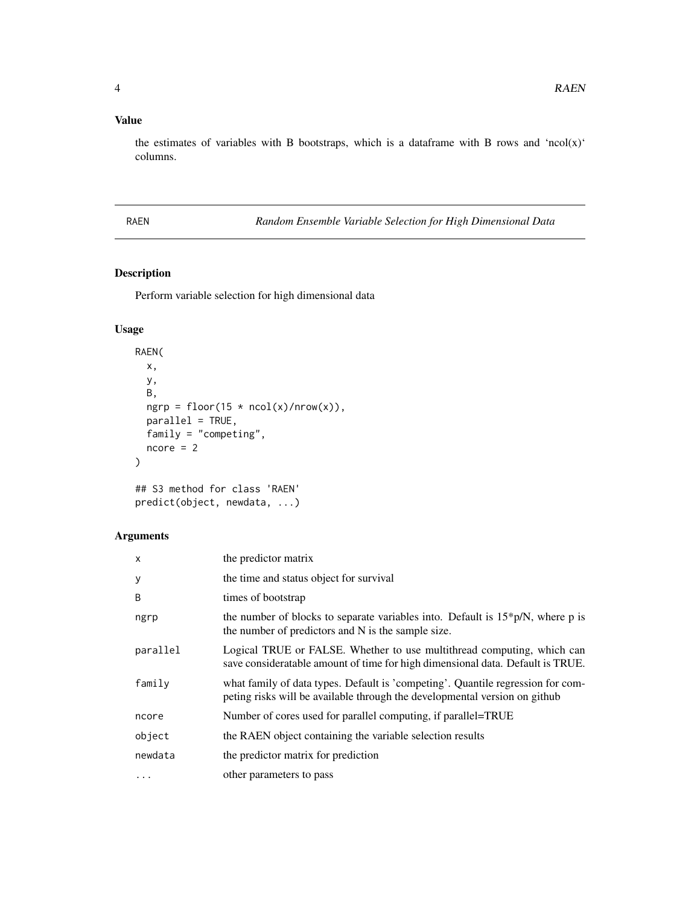#### <span id="page-3-0"></span>Value

the estimates of variables with B bootstraps, which is a dataframe with B rows and 'ncol(x)' columns.

RAEN *Random Ensemble Variable Selection for High Dimensional Data*

#### Description

Perform variable selection for high dimensional data

#### Usage

```
RAEN(
  x,
 y,
 B,
  ngrp = floor(15 * ncol(x)/nrow(x)),
 parallel = TRUE,
 family = "competing",
 ncore = 2)
## S3 method for class 'RAEN'
```

```
predict(object, newdata, ...)
```
#### Arguments

| $\times$ | the predictor matrix                                                                                                                                          |
|----------|---------------------------------------------------------------------------------------------------------------------------------------------------------------|
| У        | the time and status object for survival                                                                                                                       |
| B        | times of bootstrap                                                                                                                                            |
| ngrp     | the number of blocks to separate variables into. Default is $15*pi/N$ , where p is<br>the number of predictors and N is the sample size.                      |
| parallel | Logical TRUE or FALSE. Whether to use multithread computing, which can<br>save consideratable amount of time for high dimensional data. Default is TRUE.      |
| family   | what family of data types. Default is 'competing'. Quantile regression for com-<br>peting risks will be available through the developmental version on github |
| ncore    | Number of cores used for parallel computing, if parallel=TRUE                                                                                                 |
| object   | the RAEN object containing the variable selection results                                                                                                     |
| newdata  | the predictor matrix for prediction                                                                                                                           |
| $\cdots$ | other parameters to pass                                                                                                                                      |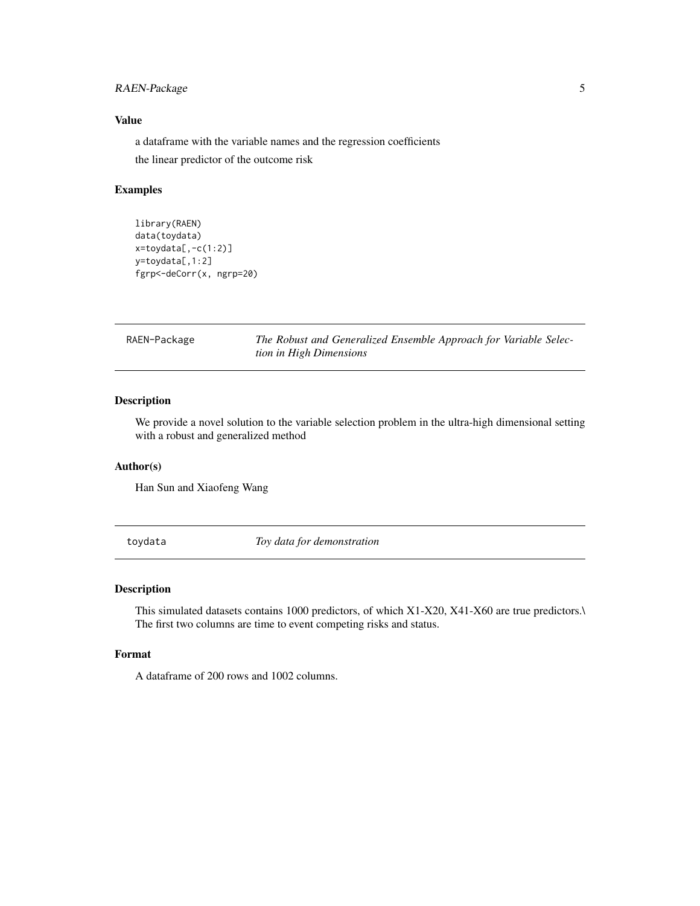#### <span id="page-4-0"></span>RAEN-Package 5

#### Value

a dataframe with the variable names and the regression coefficients the linear predictor of the outcome risk

#### Examples

```
library(RAEN)
data(toydata)
x=toydata[,-c(1:2)]
y=toydata[,1:2]
fgrp<-deCorr(x, ngrp=20)
```
RAEN-Package *The Robust and Generalized Ensemble Approach for Variable Selection in High Dimensions*

#### Description

We provide a novel solution to the variable selection problem in the ultra-high dimensional setting with a robust and generalized method

#### Author(s)

Han Sun and Xiaofeng Wang

toydata *Toy data for demonstration*

#### Description

This simulated datasets contains 1000 predictors, of which X1-X20, X41-X60 are true predictors. The first two columns are time to event competing risks and status.

#### Format

A dataframe of 200 rows and 1002 columns.